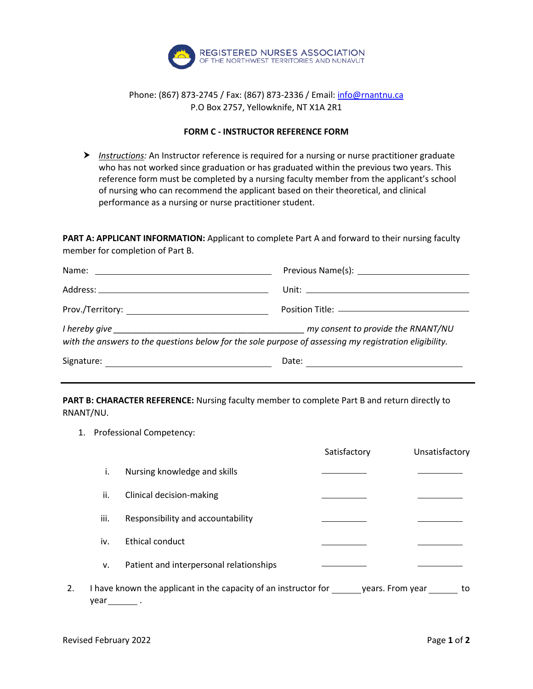

## Phone: (867) 873-2745 / Fax: (867) 873-2336 / Email[: info@rnantnu.ca](mailto:info@rnantnu.ca) P.O Box 2757, Yellowknife, NT X1A 2R1

## **FORM C - INSTRUCTOR REFERENCE FORM**

**▶** Instructions: An Instructor reference is required for a nursing or nurse practitioner graduate who has not worked since graduation or has graduated within the previous two years. This reference form must be completed by a nursing faculty member from the applicant's school of nursing who can recommend the applicant based on their theoretical, and clinical performance as a nursing or nurse practitioner student.

**PART A: APPLICANT INFORMATION:** Applicant to complete Part A and forward to their nursing faculty member for completion of Part B.

| with the answers to the questions below for the sole purpose of assessing my registration eligibility. | my consent to provide the RNANT/NU |  |
|--------------------------------------------------------------------------------------------------------|------------------------------------|--|
| Signature:                                                                                             | Date:                              |  |

**PART B: CHARACTER REFERENCE:** Nursing faculty member to complete Part B and return directly to RNANT/NU.

1. Professional Competency:

|    |      |                                                                 | Satisfactory | Unsatisfactory         |
|----|------|-----------------------------------------------------------------|--------------|------------------------|
|    | i.   | Nursing knowledge and skills                                    |              |                        |
|    | ii.  | Clinical decision-making                                        |              |                        |
|    | iii. | Responsibility and accountability                               |              |                        |
|    | iv.  | Ethical conduct                                                 |              |                        |
|    | v.   | Patient and interpersonal relationships                         |              |                        |
| 2. | vear | I have known the applicant in the capacity of an instructor for |              | years. From year<br>to |